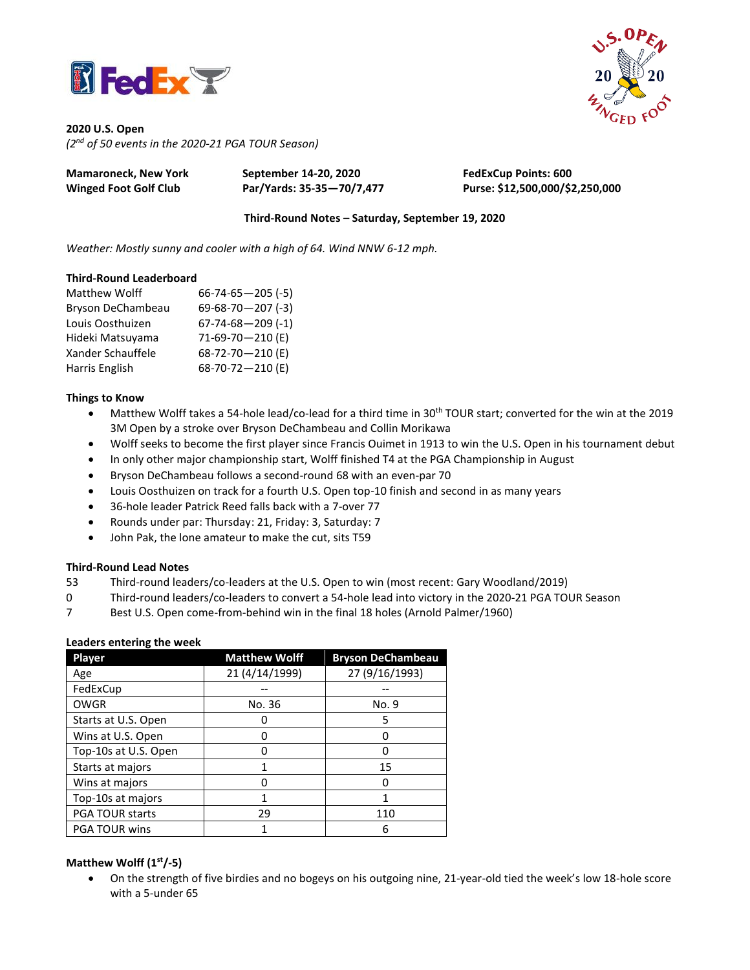



**2020 U.S. Open** *(2 nd of 50 events in the 2020-21 PGA TOUR Season)*

| <b>Mamaroneck, New York</b>  | September 14-20, 2020     | <b>FedExCup Points: 600</b>     |
|------------------------------|---------------------------|---------------------------------|
| <b>Winged Foot Golf Club</b> | Par/Yards: 35-35-70/7,477 | Purse: \$12,500,000/\$2,250,000 |

**Third-Round Notes – Saturday, September 19, 2020**

*Weather: Mostly sunny and cooler with a high of 64. Wind NNW 6-12 mph.*

### **Third-Round Leaderboard**

| Matthew Wolff     | $66 - 74 - 65 - 205$ (-5) |
|-------------------|---------------------------|
| Bryson DeChambeau | $69 - 68 - 70 - 207$ (-3) |
| Louis Oosthuizen  | $67 - 74 - 68 - 209$ (-1) |
| Hideki Matsuyama  | $71-69-70-210$ (E)        |
| Xander Schauffele | 68-72-70-210 (E)          |
| Harris English    | 68-70-72-210 (E)          |

### **Things to Know**

- Matthew Wolff takes a 54-hole lead/co-lead for a third time in 30th TOUR start; converted for the win at the 2019 3M Open by a stroke over Bryson DeChambeau and Collin Morikawa
- Wolff seeks to become the first player since Francis Ouimet in 1913 to win the U.S. Open in his tournament debut
- In only other major championship start, Wolff finished T4 at the PGA Championship in August
- Bryson DeChambeau follows a second-round 68 with an even-par 70
- Louis Oosthuizen on track for a fourth U.S. Open top-10 finish and second in as many years
- 36-hole leader Patrick Reed falls back with a 7-over 77
- Rounds under par: Thursday: 21, Friday: 3, Saturday: 7
- John Pak, the lone amateur to make the cut, sits T59

## **Third-Round Lead Notes**

- 53 Third-round leaders/co-leaders at the U.S. Open to win (most recent: Gary Woodland/2019)
- 0 Third-round leaders/co-leaders to convert a 54-hole lead into victory in the 2020-21 PGA TOUR Season
- 7 Best U.S. Open come-from-behind win in the final 18 holes (Arnold Palmer/1960)

## **Leaders entering the week**

| Player                 | <b>Matthew Wolff</b> | <b>Bryson DeChambeau</b> |
|------------------------|----------------------|--------------------------|
| Age                    | 21 (4/14/1999)       | 27 (9/16/1993)           |
| FedExCup               |                      |                          |
| <b>OWGR</b>            | No. 36               | No. 9                    |
| Starts at U.S. Open    |                      | 5                        |
| Wins at U.S. Open      |                      | O                        |
| Top-10s at U.S. Open   |                      |                          |
| Starts at majors       |                      | 15                       |
| Wins at majors         |                      | ŋ                        |
| Top-10s at majors      |                      |                          |
| <b>PGA TOUR starts</b> | 29                   | 110                      |
| <b>PGA TOUR wins</b>   |                      | 6                        |

# **Matthew Wolff (1 st/-5)**

• On the strength of five birdies and no bogeys on his outgoing nine, 21-year-old tied the week's low 18-hole score with a 5-under 65